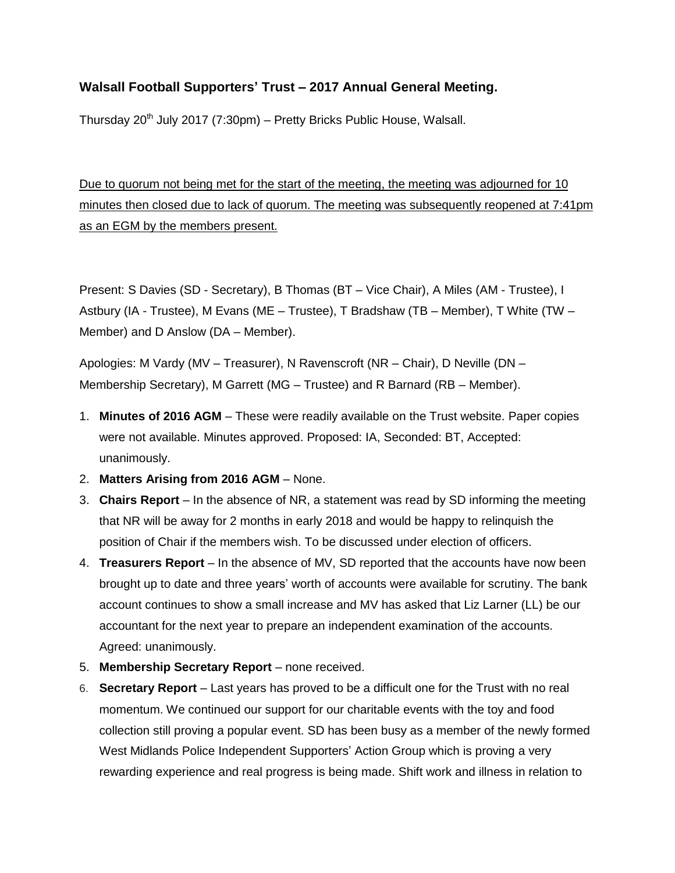## **Walsall Football Supporters' Trust – 2017 Annual General Meeting.**

Thursday  $20^{th}$  July 2017 (7:30pm) – Pretty Bricks Public House, Walsall.

Due to quorum not being met for the start of the meeting, the meeting was adjourned for 10 minutes then closed due to lack of quorum. The meeting was subsequently reopened at 7:41pm as an EGM by the members present.

Present: S Davies (SD - Secretary), B Thomas (BT – Vice Chair), A Miles (AM - Trustee), I Astbury (IA - Trustee), M Evans (ME – Trustee), T Bradshaw (TB – Member), T White (TW – Member) and D Anslow (DA – Member).

Apologies: M Vardy (MV – Treasurer), N Ravenscroft (NR – Chair), D Neville (DN – Membership Secretary), M Garrett (MG – Trustee) and R Barnard (RB – Member).

- 1. **Minutes of 2016 AGM** These were readily available on the Trust website. Paper copies were not available. Minutes approved. Proposed: IA, Seconded: BT, Accepted: unanimously.
- 2. **Matters Arising from 2016 AGM** None.
- 3. **Chairs Report** In the absence of NR, a statement was read by SD informing the meeting that NR will be away for 2 months in early 2018 and would be happy to relinquish the position of Chair if the members wish. To be discussed under election of officers.
- 4. **Treasurers Report** In the absence of MV, SD reported that the accounts have now been brought up to date and three years' worth of accounts were available for scrutiny. The bank account continues to show a small increase and MV has asked that Liz Larner (LL) be our accountant for the next year to prepare an independent examination of the accounts. Agreed: unanimously.
- 5. **Membership Secretary Report** none received.
- 6. **Secretary Report** Last years has proved to be a difficult one for the Trust with no real momentum. We continued our support for our charitable events with the toy and food collection still proving a popular event. SD has been busy as a member of the newly formed West Midlands Police Independent Supporters' Action Group which is proving a very rewarding experience and real progress is being made. Shift work and illness in relation to